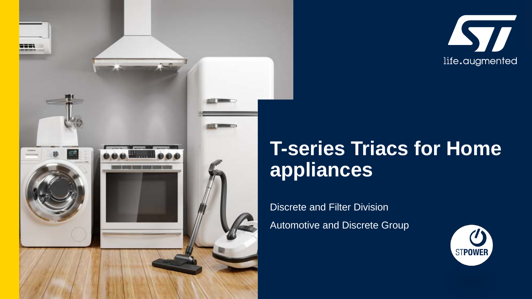



# **T-series Triacs for Home appliances**

Discrete and Filter Division Automotive and Discrete Group

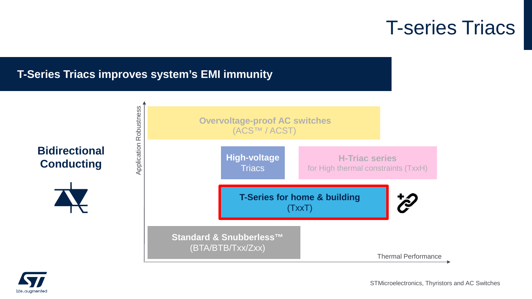## T-series Triacs

**H Triac series for** 

#### **T-Series Triacs improves system's EMI immunity**





STMicroelectronics, Thyristors and AC Switches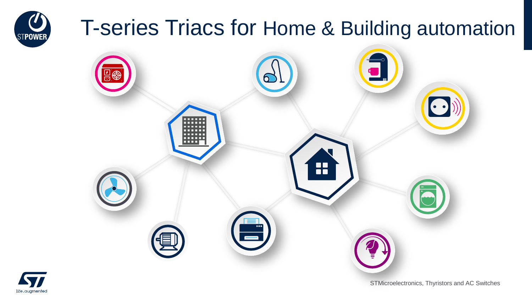# T-series Triacs for Home & Building automation





**STPOWER** 

STMicroelectronics, Thyristors and AC Switches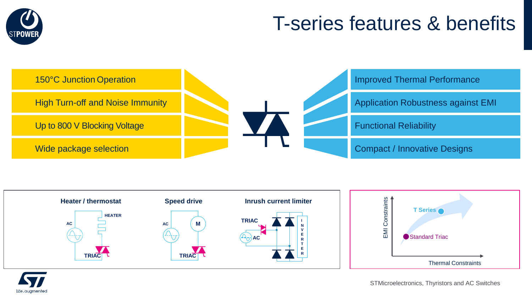

# T-series features & benefits





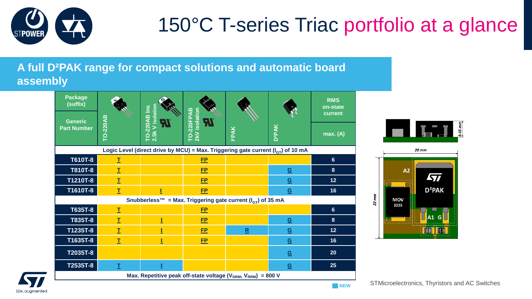

# 150°C T-series Triac portfolio at a glance

#### **A full D²PAK range for compact solutions and automatic board assembly**





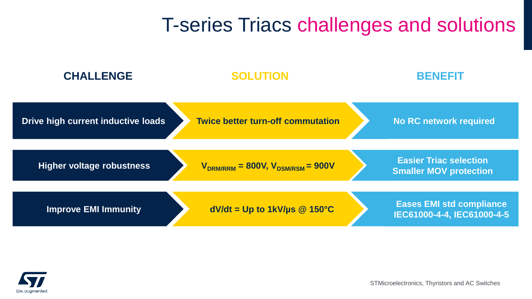## T-series Triacs challenges and solutions



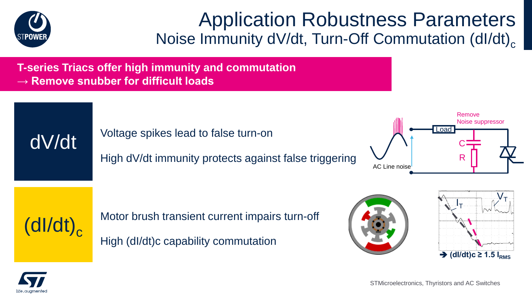

### Application Robustness Parameters Noise Immunity dV/dt, Turn-Off Commutation (dl/dt)<sub>c</sub>

**T-series Triacs offer high immunity and commutation → Remove snubber for difficult loads**

dV/dt Voltage spikes lead to false turn-on

High dV/dt immunity protects against false triggering





Motor brush transient current impairs turn-off

High (dI/dt)c capability commutation





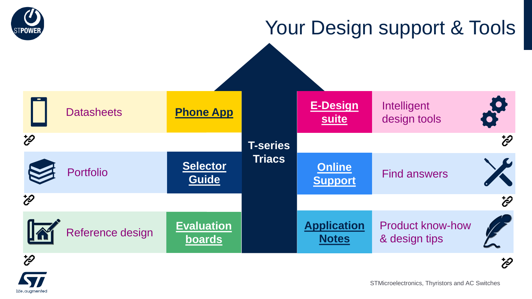

life.augmenter